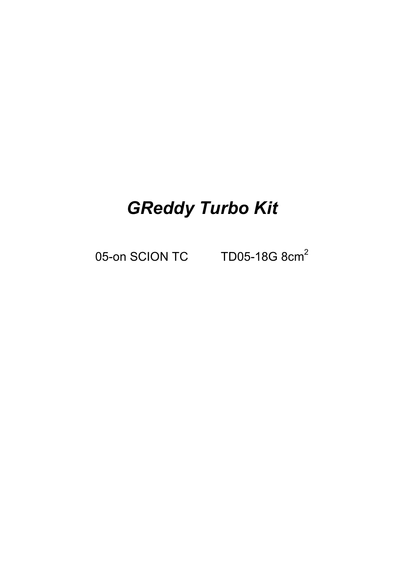# *GReddy Turbo Kit*

05-on SCION TC TD05-18G 8cm<sup>2</sup>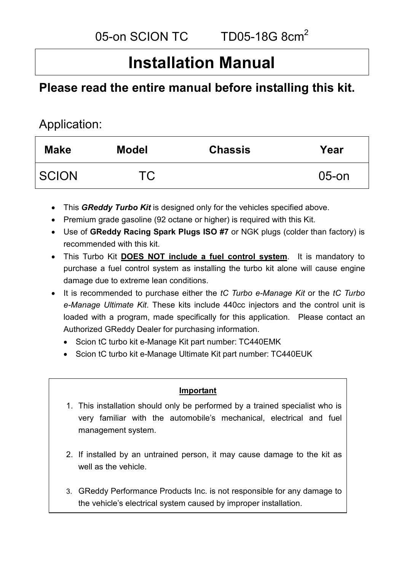## **Installation Manual**

## **Please read the entire manual before installing this kit.**

### Application:

| <b>Make</b>  | <b>Model</b> | <b>Chassis</b> | Year     |
|--------------|--------------|----------------|----------|
| <b>SCION</b> | <b>TC</b>    |                | $05$ -on |

- This *GReddy Turbo Kit* is designed only for the vehicles specified above.
- Premium grade gasoline (92 octane or higher) is required with this Kit.
- Use of **GReddy Racing Spark Plugs ISO #7** or NGK plugs (colder than factory) is recommended with this kit.
- This Turbo Kit **DOES NOT include a fuel control system**. It is mandatory to purchase a fuel control system as installing the turbo kit alone will cause engine damage due to extreme lean conditions.
- It is recommended to purchase either the *tC Turbo e-Manage Kit* or the *tC Turbo e-Manage Ultimate Kit*. These kits include 440cc injectors and the control unit is loaded with a program, made specifically for this application. Please contact an Authorized GReddy Dealer for purchasing information.
	- Scion tC turbo kit e-Manage Kit part number: TC440EMK
	- Scion tC turbo kit e-Manage Ultimate Kit part number: TC440EUK

#### **Important**

- 1. This installation should only be performed by a trained specialist who is very familiar with the automobile's mechanical, electrical and fuel management system.
- 2. If installed by an untrained person, it may cause damage to the kit as well as the vehicle.
- 3. GReddy Performance Products Inc. is not responsible for any damage to the vehicle's electrical system caused by improper installation.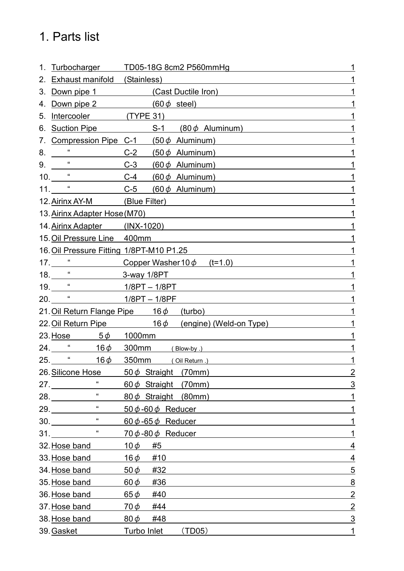## 1. Parts list

| 1. |                                          | Turbocharger TD05-18G 8cm2 P560mmHg                  |                |
|----|------------------------------------------|------------------------------------------------------|----------------|
| 2. | <b>Exhaust manifold</b> (Stainless)      |                                                      |                |
| 3. |                                          | Down pipe 1 (Cast Ductile Iron)                      |                |
| 4. |                                          | Down pipe 2 $(60 \phi \text{ steel})$                |                |
| 5. | Intercooler (TYPE 31)                    |                                                      |                |
| 6. | <b>Suction Pipe</b>                      | $S-1$ (80 $\phi$ Aluminum)                           |                |
| 7. |                                          | Compression Pipe C-1 $(50 \phi$ Aluminum)            |                |
|    |                                          | C-2 $(50 \phi$ Aluminum)                             |                |
|    | $9.$ "                                   | $C-3$ (60 $\phi$ Aluminum)                           |                |
|    | $10.$ $\frac{4}{10}$                     | C-4 $(60 \phi$ Aluminum)                             |                |
|    |                                          | 11. $\frac{1}{2}$ C-5 (60 $\phi$ Aluminum)           |                |
|    | 12. Airinx AY-M (Blue Filter)            |                                                      |                |
|    | 13. Airinx Adapter Hose (M70)            |                                                      |                |
|    | 14. Airinx Adapter (INX-1020)            |                                                      |                |
|    | 15. Oil Pressure Line 400mm              |                                                      |                |
|    | 16. Oil Pressure Fitting 1/8PT-M10 P1.25 |                                                      |                |
|    |                                          | 17. $\frac{1}{2}$ Copper Washer 10 $\phi$ (t=1.0)    |                |
|    | 18. <u>" 3-way 1/8PT</u>                 |                                                      |                |
|    |                                          |                                                      |                |
|    | 20. <u>" 1/8PT – 1/8PF</u>               |                                                      |                |
|    |                                          | 21. Oil Return Flange Pipe 16 $\phi$ (turbo)         |                |
|    |                                          | 22. Oil Return Pipe $16\phi$ (engine) (Weld-on Type) |                |
|    | 23. Hose $5\phi$ 1000mm                  |                                                      |                |
|    | $24.$ $*$ $16\phi$                       | 300mm (Blow-by.)                                     |                |
|    | $25.$ "<br>$16\phi$                      | 350mm (Oil Return .)                                 | 1              |
|    | 26. Silicone Hose                        | $50\phi$ Straight (70mm)                             | $\overline{2}$ |
|    | 27.                                      | $60\phi$ Straight (70mm)                             | 3              |
|    | $\alpha$<br>28.                          | 80 $\phi$ Straight (80mm)                            | 1              |
|    | $\mu$<br>29.                             | 50 φ - 60 φ Reducer                                  | 1              |
|    | $\epsilon$<br>30.                        | 60 $\phi$ -65 $\phi$ Reducer                         | 1              |
|    | $\alpha$<br>31.                          | $70\phi - 80\phi$ Reducer                            | 1              |
|    | 32. Hose band                            | $10\phi$<br>#5                                       | 4              |
|    | 33. Hose band                            | $16\phi$<br>#10                                      | $\overline{4}$ |
|    | 34. Hose band                            | 50 $\phi$<br>#32                                     | $\overline{5}$ |
|    | 35. Hose band                            | $60\phi$<br>#36                                      | <u>8</u>       |
|    | 36. Hose band                            | $65\phi$<br>#40                                      | $\overline{2}$ |
|    | 37. Hose band                            | $70\phi$<br>#44                                      | $\overline{2}$ |
|    | 38. Hose band                            | $80\phi$<br>#48                                      | $\overline{3}$ |
|    | 39. Gasket                               | Turbo Inlet<br>(TD05)                                | 1              |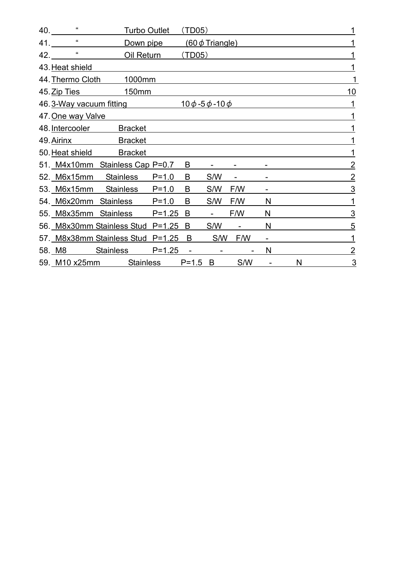|     | $40.$ $\frac{40}{10}$ | Turbo Outlet                      |            | (TD05)                   |                      |     |                          |   | 1              |
|-----|-----------------------|-----------------------------------|------------|--------------------------|----------------------|-----|--------------------------|---|----------------|
|     | $41.$ $\frac{41}{1}$  | Down pipe                         |            |                          | $(60 \phi$ Triangle) |     |                          |   |                |
| 42. | $\alpha$              | <u>Oil Return</u>                 |            | (TD05)                   |                      |     |                          |   |                |
|     | 43. Heat shield       |                                   |            |                          |                      |     |                          |   |                |
|     | 44. Thermo Cloth      | 1000mm                            |            |                          |                      |     |                          |   |                |
|     | 45. Zip Ties          | 150mm                             |            |                          |                      |     |                          |   | 10             |
|     |                       | 46.3-Way vacuum fitting           |            | <u> 10 ф -5 ф -10 ф</u>  |                      |     |                          |   |                |
|     | 47. One way Valve     |                                   |            |                          |                      |     |                          |   |                |
|     | 48. Intercooler       | <b>Bracket</b>                    |            |                          |                      |     |                          |   |                |
|     |                       | 49. Airinx Bracket                |            |                          |                      |     |                          |   |                |
|     |                       | 50. Heat shield Bracket           |            |                          |                      |     |                          |   |                |
|     |                       | 51. M4x10mm Stainless Cap P=0.7   |            | B                        |                      |     |                          |   | 2              |
|     |                       | 52. M6x15mm Stainless             | $P = 1.0$  | B                        | S/W                  | -   |                          |   | $\overline{2}$ |
|     |                       | 53. M6x15mm Stainless P=1.0       |            | B                        | S/W                  | F/W |                          |   | 3              |
|     |                       | 54. M6x20mm Stainless P=1.0       |            | B                        | S/W                  | F/W | N                        |   | 1              |
|     |                       | 55. M8x35mm Stainless P=1.25      |            | B                        |                      | F/W | N                        |   | <u>3</u>       |
|     |                       | 56. M8x30mm Stainless Stud P=1.25 |            | B                        | S/W                  |     | N                        |   | $\overline{5}$ |
|     |                       | 57. M8x38mm Stainless Stud P=1.25 |            | B                        | S/W                  | F/W | $\overline{\phantom{0}}$ |   | 1              |
|     | 58. M8 Stainless      |                                   | $P = 1.25$ | $\overline{\phantom{a}}$ |                      |     | N                        |   | 2              |
|     |                       | 59. M10 x25mm Stainless           |            | $P=1.5$ B                |                      | S/W |                          | N | 3              |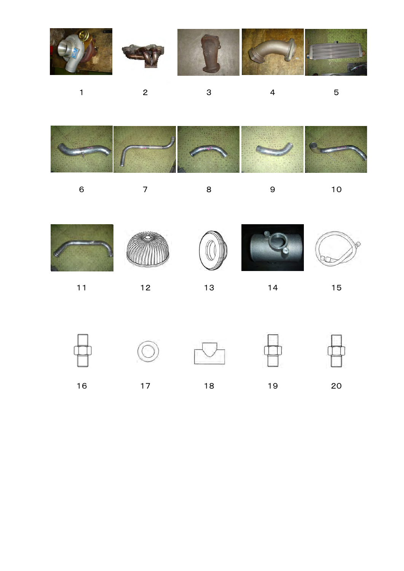

1 2 3 4 5







6 7 8 9 10









11 12 13 14 15









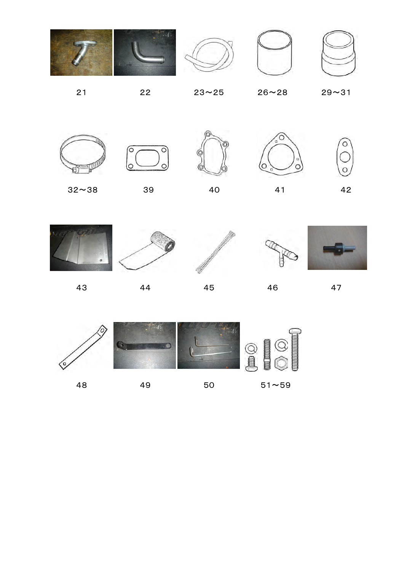















 $\sqrt{\circ}$ 

 $\epsilon$ 





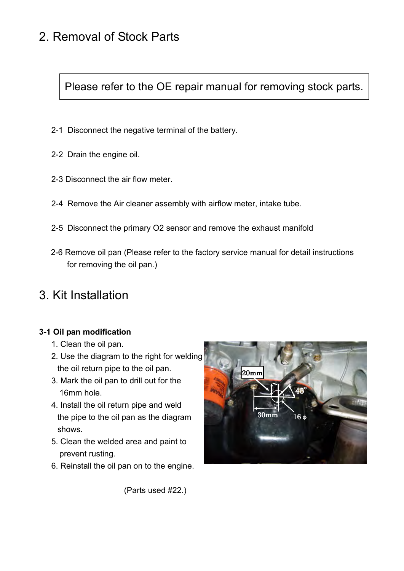## 2. Removal of Stock Parts

Please refer to the OE repair manual for removing stock parts.

- 2-1 Disconnect the negative terminal of the battery.
- 2-2 Drain the engine oil.
- 2-3 Disconnect the air flow meter.
- 2-4 Remove the Air cleaner assembly with airflow meter, intake tube.
- 2-5 Disconnect the primary O2 sensor and remove the exhaust manifold
- 2-6 Remove oil pan (Please refer to the factory service manual for detail instructions for removing the oil pan.)

### 3. Kit Installation

#### **3-1 Oil pan modification**

- 1. Clean the oil pan.
- 2. Use the diagram to the right for welding the oil return pipe to the oil pan.
- 3. Mark the oil pan to drill out for the 16mm hole.
- 4. Install the oil return pipe and weld the pipe to the oil pan as the diagram shows.
- 5. Clean the welded area and paint to prevent rusting.
- 6. Reinstall the oil pan on to the engine.



(Parts used #22.)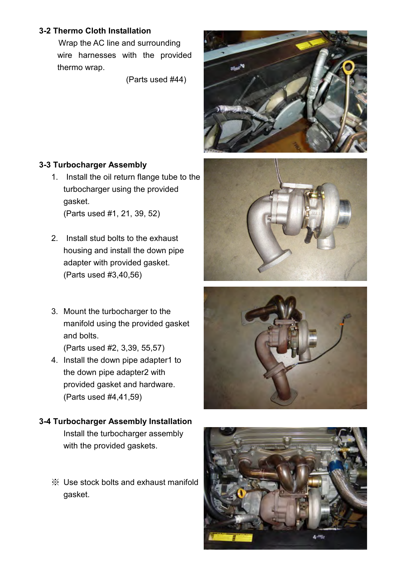#### **3-2 Thermo Cloth Installation**

 Wrap the AC line and surrounding wire harnesses with the provided thermo wrap.

(Parts used #44)

![](_page_7_Picture_3.jpeg)

#### **3-3 Turbocharger Assembly**

- 1. Install the oil return flange tube to the turbocharger using the provided gasket. (Parts used #1, 21, 39, 52)
- 2. Install stud bolts to the exhaust housing and install the down pipe adapter with provided gasket. (Parts used #3,40,56)
- 3. Mount the turbocharger to the manifold using the provided gasket and bolts. (Parts used #2, 3,39, 55,57)
- 4. Install the down pipe adapter1 to the down pipe adapter2 with provided gasket and hardware. (Parts used #4,41,59)
- **3-4 Turbocharger Assembly Installation**  Install the turbocharger assembly with the provided gaskets.
	- ※ Use stock bolts and exhaust manifold gasket.

![](_page_7_Picture_11.jpeg)

![](_page_7_Picture_12.jpeg)

![](_page_7_Picture_13.jpeg)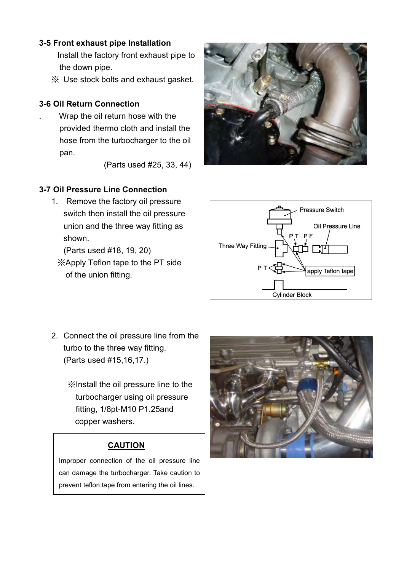#### **3-5 Front exhaust pipe Installation**

- Install the factory front exhaust pipe to the down pipe.
- ※ Use stock bolts and exhaust gasket.

#### **3-6 Oil Return Connection**

. Wrap the oil return hose with the provided thermo cloth and install the hose from the turbocharger to the oil pan.

(Parts used #25, 33, 44)

#### **3-7 Oil Pressure Line Connection**

1. Remove the factory oil pressure switch then install the oil pressure union and the three way fitting as shown.

(Parts used #18, 19, 20)

※Apply Teflon tape to the PT side of the union fitting.

![](_page_8_Figure_11.jpeg)

- 2. Connect the oil pressure line from the turbo to the three way fitting. (Parts used #15,16,17.)
	- ※Install the oil pressure line to the turbocharger using oil pressure fitting, 1/8pt-M10 P1.25and copper washers.

#### **CAUTION**

Improper connection of the oil pressure line can damage the turbocharger. Take caution to prevent teflon tape from entering the oil lines.

![](_page_8_Picture_16.jpeg)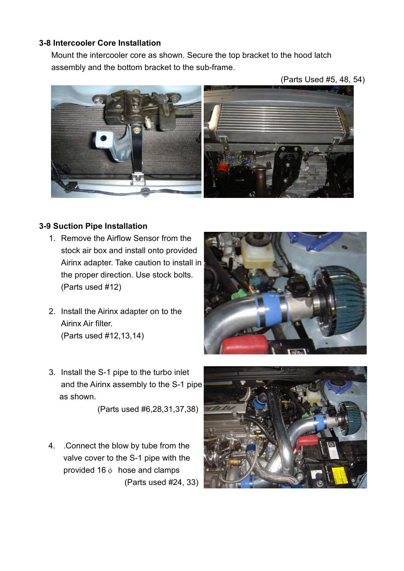#### **3-8 Intercooler Core Installation**

Mount the intercooler core as shown. Secure the top bracket to the hood latch assembly and the bottom bracket to the sub-frame.

(Parts Used #5, 48, 54)

![](_page_9_Picture_3.jpeg)

#### **3-9 Suction Pipe Installation**

- 1. Remove the Airflow Sensor from the stock air box and install onto provided Airinx adapter. Take caution to install in the proper direction. Use stock bolts. (Parts used #12)
- 2. Install the Airinx adapter on to the Airinx Air filter. (Parts used #12,13,14)
- 3. Install the S-1 pipe to the turbo inlet and the Airinx assembly to the S-1 pipe as shown.

(Parts used #6,28,31,37,38)

4. .Connect the blow by tube from the valve cover to the S-1 pipe with the provided 16 $\phi$  hose and clamps (Parts used #24, 33)

![](_page_9_Picture_10.jpeg)

![](_page_9_Picture_11.jpeg)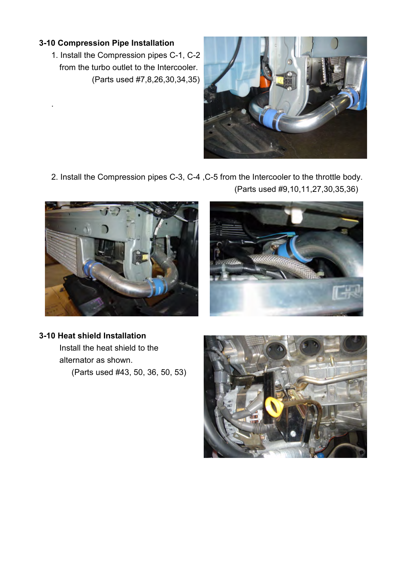#### **3-10 Compression Pipe Installation**

.

1. Install the Compression pipes C-1, C-2 from the turbo outlet to the Intercooler. (Parts used #7,8,26,30,34,35)

![](_page_10_Picture_2.jpeg)

2. Install the Compression pipes C-3, C-4 ,C-5 from the Intercooler to the throttle body. (Parts used #9,10,11,27,30,35,36)

![](_page_10_Picture_4.jpeg)

![](_page_10_Picture_5.jpeg)

#### **3-10 Heat shield Installation**

 Install the heat shield to the alternator as shown. (Parts used #43, 50, 36, 50, 53)

![](_page_10_Picture_8.jpeg)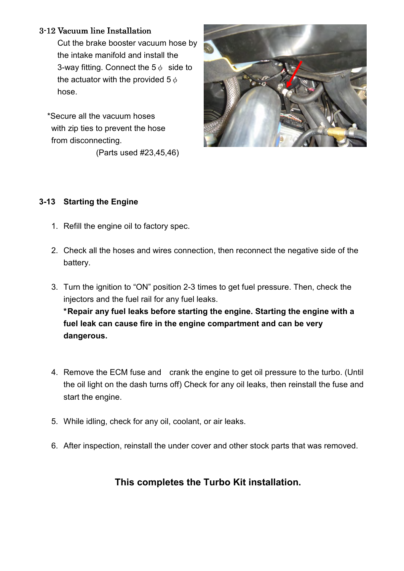#### 3-12 Vacuum line Installation

Cut the brake booster vacuum hose by the intake manifold and install the 3-way fitting. Connect the  $5\phi$  side to the actuator with the provided 5  $\phi$ hose.

 \*Secure all the vacuum hoses with zip ties to prevent the hose from disconnecting. (Parts used #23,45,46)

![](_page_11_Picture_3.jpeg)

#### **3-13 Starting the Engine**

- 1. Refill the engine oil to factory spec.
- 2. Check all the hoses and wires connection, then reconnect the negative side of the battery.
- 3. Turn the ignition to "ON" position 2-3 times to get fuel pressure. Then, check the injectors and the fuel rail for any fuel leaks.  **\* Repair any fuel leaks before starting the engine. Starting the engine with a fuel leak can cause fire in the engine compartment and can be very dangerous.**
- 4. Remove the ECM fuse and crank the engine to get oil pressure to the turbo. (Until the oil light on the dash turns off) Check for any oil leaks, then reinstall the fuse and start the engine.
- 5. While idling, check for any oil, coolant, or air leaks.
- 6. After inspection, reinstall the under cover and other stock parts that was removed.

#### **This completes the Turbo Kit installation.**